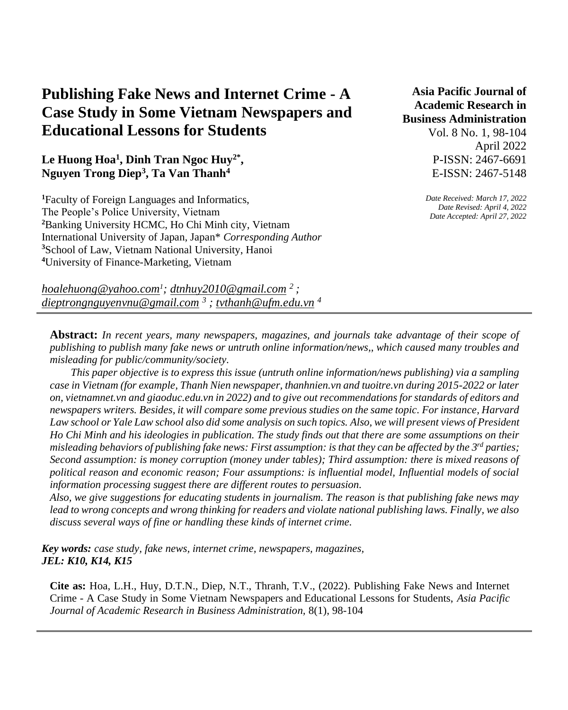# **Publishing Fake News and Internet Crime - A Case Study in Some Vietnam Newspapers and Educational Lessons for Students**

# Le Huong Hoa<sup>1</sup>, Dinh Tran Ngoc Huy<sup>2\*</sup>, **Nguyen Trong Diep<sup>3</sup> , Ta Van Thanh<sup>4</sup>**

Faculty of Foreign Languages and Informatics, The People's Police University, Vietnam Banking University HCMC, Ho Chi Minh city, Vietnam International University of Japan, Japan\* *Corresponding Author* School of Law, Vietnam National University, Hanoi University of Finance-Marketing, Vietnam

*[hoalehuong@yahoo.com](mailto:hoalehuong@yahoo.com)<sup>1</sup> ; [dtnhuy2010@gmail.com](mailto:dtnhuy2010@gmail.com) <sup>2</sup>; [dieptrongnguyenvnu@gmail.com](mailto:dieptrongnguyenvnu@gmail.com) <sup>3</sup> ; [tvthanh@ufm.edu.vn](mailto:tvthanh@ufm.edu.vn) <sup>4</sup>*

**Abstract:** *In recent years, many newspapers, magazines, and journals take advantage of their scope of publishing to publish many fake news or untruth online information/news,, which caused many troubles and misleading for public/community/society.*

*This paper objective is to express this issue (untruth online information/news publishing) via a sampling case in Vietnam (for example, Thanh Nien newspaper, thanhnien.vn and tuoitre.vn during 2015-2022 or later on, vietnamnet.vn and giaoduc.edu.vn in 2022) and to give out recommendations for standards of editors and newspapers writers. Besides, it will compare some previous studies on the same topic. For instance, Harvard Law school or Yale Law school also did some analysis on such topics. Also, we will present views of President Ho Chi Minh and his ideologies in publication. The study finds out that there are some assumptions on their misleading behaviors of publishing fake news: First assumption: is that they can be affected by the 3rd parties; Second assumption: is money corruption (money under tables); Third assumption: there is mixed reasons of political reason and economic reason; Four assumptions: is influential model, Influential models of social information processing suggest there are different routes to persuasion.*

*Also, we give suggestions for educating students in journalism. The reason is that publishing fake news may lead to wrong concepts and wrong thinking for readers and violate national publishing laws. Finally, we also discuss several ways of fine or handling these kinds of internet crime.*

*Key words: case study, fake news, internet crime, newspapers, magazines, JEL: K10, K14, K15*

**Cite as:** Hoa, L.H., Huy, D.T.N., Diep, N.T., Thranh, T.V., (2022). Publishing Fake News and Internet Crime - A Case Study in Some Vietnam Newspapers and Educational Lessons for Students, *Asia Pacific Journal of Academic Research in Business Administration,* 8(1), 98-104

**Asia Pacific Journal of Academic Research in Business Administration**  Vol. 8 No. 1, 98-104 April 2022 P-ISSN: 2467-6691 E-ISSN: 2467-5148

> *Date Received: March 17, 2022 Date Revised: April 4, 2022 Date Accepted: April 27, 2022*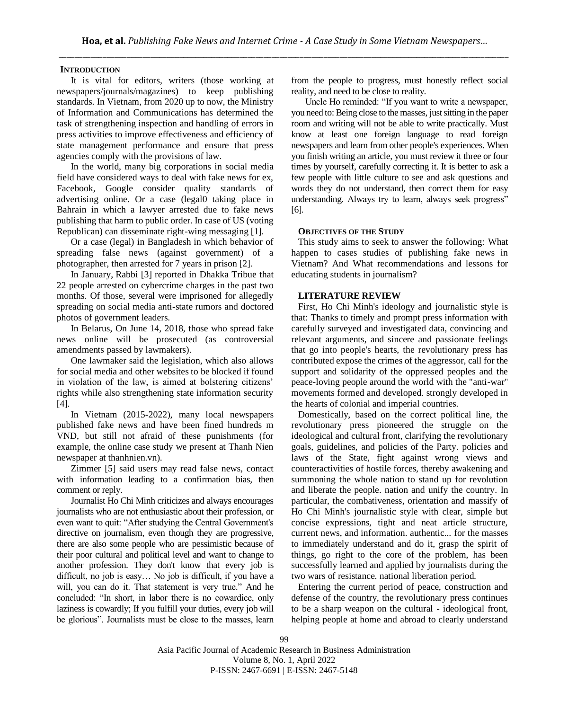# **INTRODUCTION**

It is vital for editors, writers (those working at newspapers/journals/magazines) to keep publishing standards. In Vietnam, from 2020 up to now, the Ministry of Information and Communications has determined the task of strengthening inspection and handling of errors in press activities to improve effectiveness and efficiency of state management performance and ensure that press agencies comply with the provisions of law.

In the world, many big corporations in social media field have considered ways to deal with fake news for ex, Facebook, Google consider quality standards of advertising online. Or a case (legal0 taking place in Bahrain in which a lawyer arrested due to fake news publishing that harm to public order. In case of US (voting Republican) can disseminate right-wing messaging [1].

Or a case (legal) in Bangladesh in which behavior of spreading false news (against government) of a photographer, then arrested for 7 years in prison [2].

In January, Rabbi [3] reported in Dhakka Tribue that 22 people arrested on cybercrime charges in the past two months. Of those, several were imprisoned for allegedly spreading on social media anti-state rumors and doctored photos of government leaders.

In Belarus, On June 14, 2018, those who spread fake news online will be prosecuted (as [controversial](https://news.tut.by/society/595733.html)  [amendments](https://news.tut.by/society/595733.html) passed by lawmakers).

One lawmaker said the legislation, which also allows for social media and other websites to be blocked if found in violation of the law, is aimed at bolstering citizens' rights while also strengthening state information security [4].

In Vietnam (2015-2022), many local newspapers published fake news and have been fined hundreds m VND, but still not afraid of these punishments (for example, the online case study we present at Thanh Nien newspaper at thanhnien.vn).

Zimmer [5] said users may read false news, contact with information leading to a confirmation bias, then comment or reply.

Journalist Ho Chi Minh criticizes and always encourages journalists who are not enthusiastic about their profession, or even want to quit: "After studying the Central Government's directive on journalism, even though they are progressive, there are also some people who are pessimistic because of their poor cultural and political level and want to change to another profession. They don't know that every job is difficult, no job is easy… No job is difficult, if you have a will, you can do it. That statement is very true." And he concluded: "In short, in labor there is no cowardice, only laziness is cowardly; If you fulfill your duties, every job will be glorious". Journalists must be close to the masses, learn

from the people to progress, must honestly reflect social reality, and need to be close to reality.

Uncle Ho reminded: "If you want to write a newspaper, you need to: Being close to the masses, just sitting in the paper room and writing will not be able to write practically. Must know at least one foreign language to read foreign newspapers and learn from other people's experiences. When you finish writing an article, you must review it three or four times by yourself, carefully correcting it. It is better to ask a few people with little culture to see and ask questions and words they do not understand, then correct them for easy understanding. Always try to learn, always seek progress" [6].

#### **OBJECTIVES OF THE STUDY**

This study aims to seek to answer the following: What happen to cases studies of publishing fake news in Vietnam? And What recommendations and lessons for educating students in journalism?

#### **LITERATURE REVIEW**

First, Ho Chi Minh's ideology and journalistic style is that: Thanks to timely and prompt press information with carefully surveyed and investigated data, convincing and relevant arguments, and sincere and passionate feelings that go into people's hearts, the revolutionary press has contributed expose the crimes of the aggressor, call for the support and solidarity of the oppressed peoples and the peace-loving people around the world with the "anti-war" movements formed and developed. strongly developed in the hearts of colonial and imperial countries.

Domestically, based on the correct political line, the revolutionary press pioneered the struggle on the ideological and cultural front, clarifying the revolutionary goals, guidelines, and policies of the Party. policies and laws of the State, fight against wrong views and counteractivities of hostile forces, thereby awakening and summoning the whole nation to stand up for revolution and liberate the people. nation and unify the country. In particular, the combativeness, orientation and massify of Ho Chi Minh's journalistic style with clear, simple but concise expressions, tight and neat article structure, current news, and information. authentic... for the masses to immediately understand and do it, grasp the spirit of things, go right to the core of the problem, has been successfully learned and applied by journalists during the two wars of resistance. national liberation period.

Entering the current period of peace, construction and defense of the country, the revolutionary press continues to be a sharp weapon on the cultural - ideological front, helping people at home and abroad to clearly understand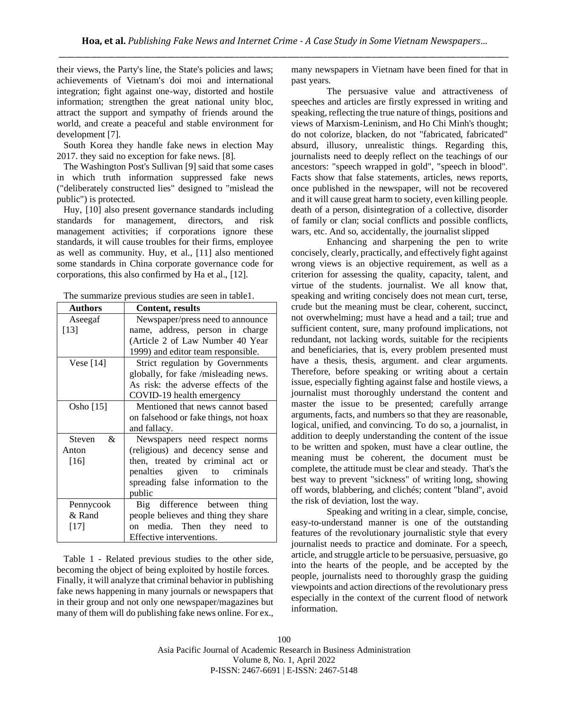their views, the Party's line, the State's policies and laws; achievements of Vietnam's doi moi and international integration; fight against one-way, distorted and hostile information; strengthen the great national unity bloc, attract the support and sympathy of friends around the world, and create a peaceful and stable environment for development [7].

South Korea they handle fake news in election May 2017. they said no exception for fake news. [8].

The Washington Post's Sullivan [9] said that some cases in which truth information suppressed fake news ("deliberately constructed lies" designed to "mislead the public") is protected.

Huy, [10] also present governance standards including standards for management, directors, and risk management activities; if corporations ignore these standards, it will cause troubles for their firms, employee as well as community. Huy, et al., [11] also mentioned some standards in China corporate governance code for corporations, this also confirmed by Ha et al., [12].

| The summarize previous studies are seen in table 1. |
|-----------------------------------------------------|
|-----------------------------------------------------|

| <b>Authors</b> | Content, results                      |
|----------------|---------------------------------------|
| Aseegaf        | Newspaper/press need to announce      |
| [13]           | name, address, person in charge       |
|                | (Article 2 of Law Number 40 Year      |
|                | 1999) and editor team responsible.    |
| Vese $[14]$    | Strict regulation by Governments      |
|                | globally, for fake /misleading news.  |
|                | As risk: the adverse effects of the   |
|                | COVID-19 health emergency             |
| Osho [15]      | Mentioned that news cannot based      |
|                | on falsehood or fake things, not hoax |
|                | and fallacy.                          |
| &<br>Steven    | Newspapers need respect norms         |
| Anton          | (religious) and decency sense and     |
| [16]           | then, treated by criminal act or      |
|                | penalties given to criminals          |
|                | spreading false information to the    |
|                | public                                |
| Pennycook      | Big difference between<br>thing       |
| & Rand         | people believes and thing they share  |
| $[17]$         | on media. Then they need to           |
|                | Effective interventions.              |

Table 1 - Related previous studies to the other side, becoming the object of being exploited by hostile forces. Finally, it will analyze that criminal behavior in publishing fake news happening in many journals or newspapers that in their group and not only one newspaper/magazines but many of them will do publishing fake news online. For ex.,

many newspapers in Vietnam have been fined for that in past years.

The persuasive value and attractiveness of speeches and articles are firstly expressed in writing and speaking, reflecting the true nature of things, positions and views of Marxism-Leninism, and Ho Chi Minh's thought; do not colorize, blacken, do not "fabricated, fabricated" absurd, illusory, unrealistic things. Regarding this, journalists need to deeply reflect on the teachings of our ancestors: "speech wrapped in gold", "speech in blood". Facts show that false statements, articles, news reports, once published in the newspaper, will not be recovered and it will cause great harm to society, even killing people. death of a person, disintegration of a collective, disorder of family or clan; social conflicts and possible conflicts, wars, etc. And so, accidentally, the journalist slipped

Enhancing and sharpening the pen to write concisely, clearly, practically, and effectively fight against wrong views is an objective requirement, as well as a criterion for assessing the quality, capacity, talent, and virtue of the students. journalist. We all know that, speaking and writing concisely does not mean curt, terse, crude but the meaning must be clear, coherent, succinct, not overwhelming; must have a head and a tail; true and sufficient content, sure, many profound implications, not redundant, not lacking words, suitable for the recipients and beneficiaries, that is, every problem presented must have a thesis, thesis, argument. and clear arguments. Therefore, before speaking or writing about a certain issue, especially fighting against false and hostile views, a journalist must thoroughly understand the content and master the issue to be presented; carefully arrange arguments, facts, and numbers so that they are reasonable, logical, unified, and convincing. To do so, a journalist, in addition to deeply understanding the content of the issue to be written and spoken, must have a clear outline, the meaning must be coherent, the document must be complete, the attitude must be clear and steady. That's the best way to prevent "sickness" of writing long, showing off words, blabbering, and clichés; content "bland", avoid the risk of deviation, lost the way.

Speaking and writing in a clear, simple, concise, easy-to-understand manner is one of the outstanding features of the revolutionary journalistic style that every journalist needs to practice and dominate. For a speech, article, and struggle article to be persuasive, persuasive, go into the hearts of the people, and be accepted by the people, journalists need to thoroughly grasp the guiding viewpoints and action directions of the revolutionary press especially in the context of the current flood of network information.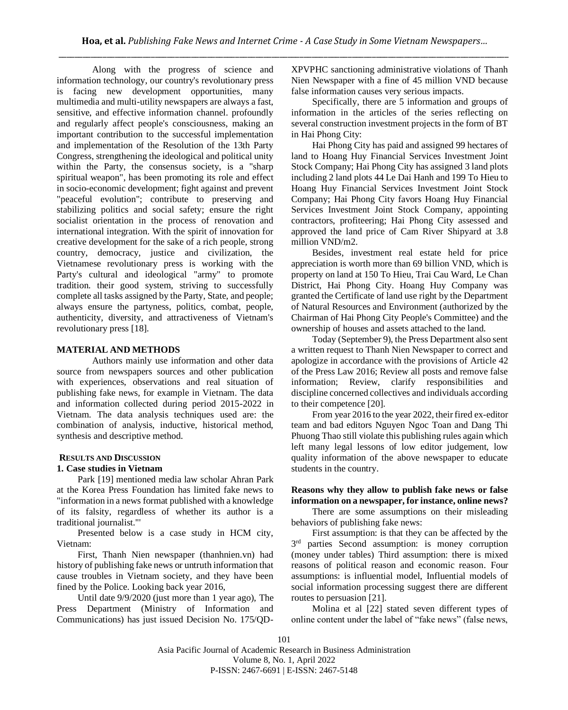Along with the progress of science and information technology, our country's revolutionary press is facing new development opportunities, many multimedia and multi-utility newspapers are always a fast, sensitive, and effective information channel. profoundly and regularly affect people's consciousness, making an important contribution to the successful implementation and implementation of the Resolution of the 13th Party Congress, strengthening the ideological and political unity within the Party, the consensus society, is a "sharp spiritual weapon", has been promoting its role and effect in socio-economic development; fight against and prevent "peaceful evolution"; contribute to preserving and stabilizing politics and social safety; ensure the right socialist orientation in the process of renovation and international integration. With the spirit of innovation for creative development for the sake of a rich people, strong country, democracy, justice and civilization, the Vietnamese revolutionary press is working with the Party's cultural and ideological "army" to promote tradition. their good system, striving to successfully complete all tasks assigned by the Party, State, and people; always ensure the partyness, politics, combat, people, authenticity, diversity, and attractiveness of Vietnam's revolutionary press [18].

## **MATERIAL AND METHODS**

Authors mainly use information and other data source from newspapers sources and other publication with experiences, observations and real situation of publishing fake news, for example in Vietnam. The data and information collected during period 2015-2022 in Vietnam. The data analysis techniques used are: the combination of analysis, inductive, historical method, synthesis and descriptive method.

## **RESULTS AND DISCUSSION**

## **1. Case studies in Vietnam**

Park [19] mentioned media law scholar Ahran Park at the Korea Press Foundation has limited fake news to "information in a news format published with a knowledge of its falsity, regardless of whether its author is a traditional journalist."'

Presented below is a case study in HCM city, Vietnam:

First, Thanh Nien newspaper (thanhnien.vn) had history of publishing fake news or untruth information that cause troubles in Vietnam society, and they have been fined by the Police. Looking back year 2016,

Until date 9/9/2020 (just more than 1 year ago), The Press Department (Ministry of Information and Communications) has just issued Decision No. 175/QD-

XPVPHC sanctioning administrative violations of Thanh Nien Newspaper with a fine of 45 million VND because false information causes very serious impacts.

Specifically, there are 5 information and groups of information in the articles of the series reflecting on several construction investment projects in the form of BT in Hai Phong City:

Hai Phong City has paid and assigned 99 hectares of land to Hoang Huy Financial Services Investment Joint Stock Company; Hai Phong City has assigned 3 land plots including 2 land plots 44 Le Dai Hanh and 199 To Hieu to Hoang Huy Financial Services Investment Joint Stock Company; Hai Phong City favors Hoang Huy Financial Services Investment Joint Stock Company, appointing contractors, profiteering; Hai Phong City assessed and approved the land price of Cam River Shipyard at 3.8 million VND/m2.

Besides, investment real estate held for price appreciation is worth more than 69 billion VND, which is property on land at 150 To Hieu, Trai Cau Ward, Le Chan District, Hai Phong City. Hoang Huy Company was granted the Certificate of land use right by the Department of Natural Resources and Environment (authorized by the Chairman of Hai Phong City People's Committee) and the ownership of houses and assets attached to the land.

Today (September 9), the Press Department also sent a written request to Thanh Nien Newspaper to correct and apologize in accordance with the provisions of Article 42 of the Press Law 2016; Review all posts and remove false information; Review, clarify responsibilities and discipline concerned collectives and individuals according to their competence [20].

From year 2016 to the year 2022, their fired ex-editor team and bad editors Nguyen Ngoc Toan and Dang Thi Phuong Thao still violate this publishing rules again which left many legal lessons of low editor judgement, low quality information of the above newspaper to educate students in the country.

# **Reasons why they allow to publish fake news or false information on a newspaper, for instance, online news?**

There are some assumptions on their misleading behaviors of publishing fake news:

First assumption: is that they can be affected by the 3<sup>rd</sup> parties Second assumption: is money corruption (money under tables) Third assumption: there is mixed reasons of political reason and economic reason. Four assumptions: is influential model, Influential models of social information processing suggest there are different routes to persuasion [21].

Molina et al [22] stated seven different types of online content under the label of "fake news" (false news,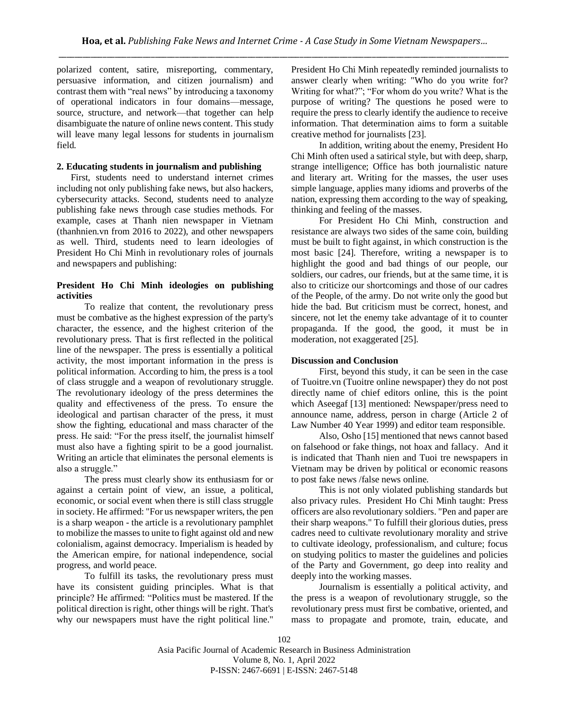polarized content, satire, misreporting, commentary, persuasive information, and citizen journalism) and contrast them with "real news" by introducing a taxonomy of operational indicators in four domains—message, source, structure, and network—that together can help disambiguate the nature of online news content. This study will leave many legal lessons for students in journalism field.

# **2. Educating students in journalism and publishing**

First, students need to understand internet crimes including not only publishing fake news, but also hackers, cybersecurity attacks. Second, students need to analyze publishing fake news through case studies methods. For example, cases at Thanh nien newspaper in Vietnam (thanhnien.vn from 2016 to 2022), and other newspapers as well. Third, students need to learn ideologies of President Ho Chi Minh in revolutionary roles of journals and newspapers and publishing:

# **President Ho Chi Minh ideologies on publishing activities**

To realize that content, the revolutionary press must be combative as the highest expression of the party's character, the essence, and the highest criterion of the revolutionary press. That is first reflected in the political line of the newspaper. The press is essentially a political activity, the most important information in the press is political information. According to him, the press is a tool of class struggle and a weapon of revolutionary struggle. The revolutionary ideology of the press determines the quality and effectiveness of the press. To ensure the ideological and partisan character of the press, it must show the fighting, educational and mass character of the press. He said: "For the press itself, the journalist himself must also have a fighting spirit to be a good journalist. Writing an article that eliminates the personal elements is also a struggle."

The press must clearly show its enthusiasm for or against a certain point of view, an issue, a political, economic, or social event when there is still class struggle in society. He affirmed: "For us newspaper writers, the pen is a sharp weapon - the article is a revolutionary pamphlet to mobilize the masses to unite to fight against old and new colonialism, against democracy. Imperialism is headed by the American empire, for national independence, social progress, and world peace.

To fulfill its tasks, the revolutionary press must have its consistent guiding principles. What is that principle? He affirmed: "Politics must be mastered. If the political direction is right, other things will be right. That's why our newspapers must have the right political line."

President Ho Chi Minh repeatedly reminded journalists to answer clearly when writing: "Who do you write for? Writing for what?"; "For whom do you write? What is the purpose of writing? The questions he posed were to require the press to clearly identify the audience to receive information. That determination aims to form a suitable creative method for journalists [23].

In addition, writing about the enemy, President Ho Chi Minh often used a satirical style, but with deep, sharp, strange intelligence; Office has both journalistic nature and literary art. Writing for the masses, the user uses simple language, applies many idioms and proverbs of the nation, expressing them according to the way of speaking, thinking and feeling of the masses.

For President Ho Chi Minh, construction and resistance are always two sides of the same coin, building must be built to fight against, in which construction is the most basic [24]. Therefore, writing a newspaper is to highlight the good and bad things of our people, our soldiers, our cadres, our friends, but at the same time, it is also to criticize our shortcomings and those of our cadres of the People, of the army. Do not write only the good but hide the bad. But criticism must be correct, honest, and sincere, not let the enemy take advantage of it to counter propaganda. If the good, the good, it must be in moderation, not exaggerated [25].

# **Discussion and Conclusion**

First, beyond this study, it can be seen in the case of Tuoitre.vn (Tuoitre online newspaper) they do not post directly name of chief editors online, this is the point which Aseegaf [13] mentioned: Newspaper/press need to announce name, address, person in charge (Article 2 of Law Number 40 Year 1999) and editor team responsible.

Also, Osho [15] mentioned that news cannot based on falsehood or fake things, not hoax and fallacy. And it is indicated that Thanh nien and Tuoi tre newspapers in Vietnam may be driven by political or economic reasons to post fake news /false news online.

This is not only violated publishing standards but also privacy rules. President Ho Chi Minh taught: Press officers are also revolutionary soldiers. "Pen and paper are their sharp weapons." To fulfill their glorious duties, press cadres need to cultivate revolutionary morality and strive to cultivate ideology, professionalism, and culture; focus on studying politics to master the guidelines and policies of the Party and Government, go deep into reality and deeply into the working masses.

Journalism is essentially a political activity, and the press is a weapon of revolutionary struggle, so the revolutionary press must first be combative, oriented, and mass to propagate and promote, train, educate, and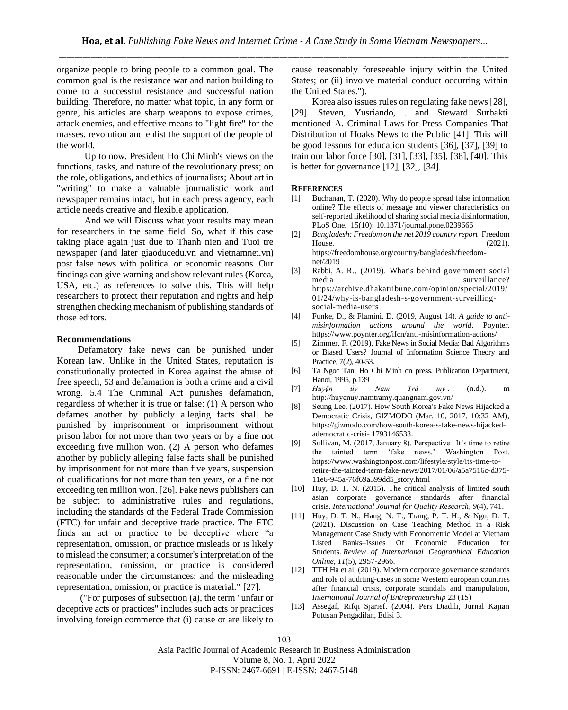organize people to bring people to a common goal. The common goal is the resistance war and nation building to come to a successful resistance and successful nation building. Therefore, no matter what topic, in any form or genre, his articles are sharp weapons to expose crimes, attack enemies, and effective means to "light fire" for the masses. revolution and enlist the support of the people of the world.

Up to now, President Ho Chi Minh's views on the functions, tasks, and nature of the revolutionary press; on the role, obligations, and ethics of journalists; About art in "writing" to make a valuable journalistic work and newspaper remains intact, but in each press agency, each article needs creative and flexible application.

And we will Discuss what your results may mean for researchers in the same field. So, what if this case taking place again just due to Thanh nien and Tuoi tre newspaper (and later giaoducedu.vn and vietnamnet.vn) post false news with political or economic reasons. Our findings can give warning and show relevant rules (Korea, USA, etc.) as references to solve this. This will help researchers to protect their reputation and rights and help strengthen checking mechanism of publishing standards of those editors.

# **Recommendations**

Defamatory fake news can be punished under Korean law. Unlike in the United States, reputation is constitutionally protected in Korea against the abuse of free speech, 53 and defamation is both a crime and a civil wrong. 5.4 The Criminal Act punishes defamation, regardless of whether it is true or false: (1) A person who defames another by publicly alleging facts shall be punished by imprisonment or imprisonment without prison labor for not more than two years or by a fine not exceeding five million won. (2) A person who defames another by publicly alleging false facts shall be punished by imprisonment for not more than five years, suspension of qualifications for not more than ten years, or a fine not exceeding ten million won. [26]. Fake news publishers can be subject to administrative rules and regulations, including the standards of the Federal Trade Commission (FTC) for unfair and deceptive trade practice. The FTC finds an act or practice to be deceptive where "a representation, omission, or practice misleads or is likely to mislead the consumer; a consumer's interpretation of the representation, omission, or practice is considered reasonable under the circumstances; and the misleading representation, omission, or practice is material." [27].

("For purposes of subsection (a), the term "unfair or deceptive acts or practices" includes such acts or practices involving foreign commerce that (i) cause or are likely to

cause reasonably foreseeable injury within the United States; or (ii) involve material conduct occurring within the United States.").

Korea also issues rules on regulating fake news [28], [29]. Steven, Yusriando, . and Steward Surbakti mentioned A. Criminal Laws for Press Companies That Distribution of Hoaks News to the Public [41]. This will be good lessons for education students [36], [37], [39] to train our labor force [30], [31], [33], [35], [38], [40]. This is better for governance [12], [32], [34].

#### **REFERENCES**

- [1] Buchanan, T. (2020). Why do people spread false information online? The effects of message and viewer characteristics on self-reported likelihood of sharing social media disinformation, [PLoS One.](https://www.ncbi.nlm.nih.gov/pmc/articles/PMC7541057/) 15(10)[: 10.1371/journal.pone.0239666](https://dx.doi.org/10.1371/journal.pone.0239666)
- [2] *Bangladesh: Freedom on the net 2019 country report*. Freedom House. (2021). https://freedomhouse.org/country/bangladesh/freedomnet/2019
- [3] Rabbi, A. R., (2019). What's behind government social media surveillance? [https://archive.dhakatribune.com/opinion/special/2019/](https://archive.dhakatribune.com/opinion/special/2019/01/24/why-is-bangladesh-s-government-surveilling-social-media-users) [01/24/why-is-bangladesh-s-government-surveilling](https://archive.dhakatribune.com/opinion/special/2019/01/24/why-is-bangladesh-s-government-surveilling-social-media-users)[social-media-users](https://archive.dhakatribune.com/opinion/special/2019/01/24/why-is-bangladesh-s-government-surveilling-social-media-users)
- [4] Funke, D., & Flamini, D. (2019, August 14). *A guide to antimisinformation actions around the world*. Poynter. https://www.poynter.org/ifcn/anti-misinformation-actions/
- [5] Zimmer, F. (2019). Fake News in Social Media: Bad Algorithms or Biased Users? [Journal of Information Science Theory and](https://www.koreascience.or.kr/journal/E1JSCH.page)  [Practice,](https://www.koreascience.or.kr/journal/E1JSCH.page) 7(2), 40-53.
- [6] Ta Ngoc Tan. Ho Chi Minh on press. Publication Department, Hanoi, 1995, p.139
- [7] *Huyện ủy Nam Trà my* . (n.d.). m http://huyenuy.namtramy.quangnam.gov.vn/
- [8] Seung Lee. (2017). How South Korea's Fake News Hijacked a Democratic Crisis, GIZMODO (Mar. 10, 2017, 10:32 AM), https://gizmodo.com/how-south-korea-s-fake-news-hijackedademocratic-crisi- 1793146533.
- [9] Sullivan, M. (2017, January 8). Perspective | It's time to retire the tainted term 'fake news.' Washington Post. https://www.washingtonpost.com/lifestyle/style/its-time-toretire-the-tainted-term-fake-news/2017/01/06/a5a7516c-d375- 11e6-945a-76f69a399dd5\_story.html
- [10] Huy, D. T. N. (2015). The critical analysis of limited south asian corporate governance standards after financial crisis. *International Journal for Quality Research*, *9*(4), 741.
- [11] Huy, D. T. N., Hang, N. T., Trang, P. T. H., & Ngu, D. T. (2021). Discussion on Case Teaching Method in a Risk Management Case Study with Econometric Model at Vietnam Listed Banks–Issues Of Economic Education for Students. *Review of International Geographical Education Online*, *11*(5), 2957-2966.
- [12] TTH Ha et al. (2019). Modern corporate governance standards [and role of auditing-cases in some Western european countries](https://scholar.google.com.vn/citations?view_op=view_citation&hl=vi&user=jlPeV7cAAAAJ&cstart=20&pagesize=80&citation_for_view=jlPeV7cAAAAJ:ZzlSgRqYykMC)  [after financial crisis, corporate scandals and manipulation,](https://scholar.google.com.vn/citations?view_op=view_citation&hl=vi&user=jlPeV7cAAAAJ&cstart=20&pagesize=80&citation_for_view=jlPeV7cAAAAJ:ZzlSgRqYykMC) *International Journal of Entrepreneurship* 23 (1S)
- [13] Assegaf, Rifqi Sjarief. (2004). Pers Diadili, Jurnal Kajian Putusan Pengadilan, Edisi 3.

Asia Pacific Journal of Academic Research in Business Administration Volume 8, No. 1, April 2022 P-ISSN: 2467-6691 | E-ISSN: 2467-5148